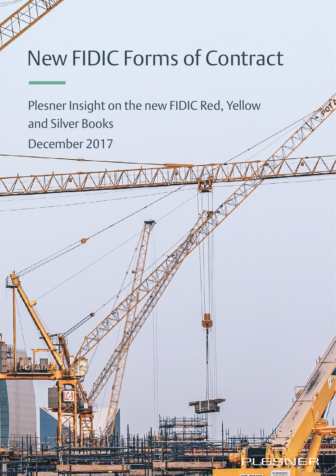# New FIDIC Forms of Contract

Plesner Insight on the new FIDIC Red, Yellow and Silver Books

December 2017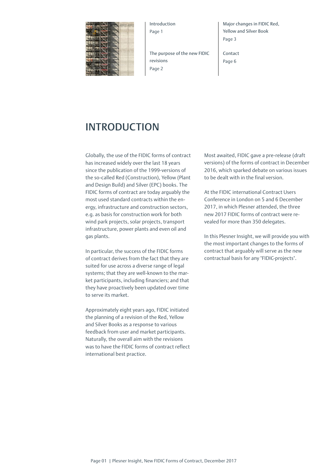

Introduction Page 1

The purpose of the new FIDIC revisions Page 2

Major changes in FIDIC Red, Yellow and Silver Book Page 3

Contact Page 6

## INTRODUCTION

Globally, the use of the FIDIC forms of contract has increased widely over the last 18 years since the publication of the 1999-versions of the so-called Red (Construction), Yellow (Plant and Design Build) and Silver (EPC) books. The FIDIC forms of contract are today arguably the most used standard contracts within the energy, infrastructure and construction sectors, e.g. as basis for construction work for both wind park projects, solar projects, transport infrastructure, power plants and even oil and gas plants.

In particular, the success of the FIDIC forms of contract derives from the fact that they are suited for use across a diverse range of legal systems; that they are well-known to the market participants, including financiers; and that they have proactively been updated over time to serve its market.

Approximately eight years ago, FIDIC initiated the planning of a revision of the Red, Yellow and Silver Books as a response to various feedback from user and market participants. Naturally, the overall aim with the revisions was to have the FIDIC forms of contract reflect international best practice.

Most awaited, FIDIC gave a pre-release (draft versions) of the forms of contract in December 2016, which sparked debate on various issues to be dealt with in the final version.

At the FIDIC international Contract Users Conference in London on 5 and 6 December 2017, in which Plesner attended, the three new 2017 FIDIC forms of contract were revealed for more than 350 delegates.

In this Plesner Insight, we will provide you with the most important changes to the forms of contract that arguably will serve as the new contractual basis for any "FIDIC-projects".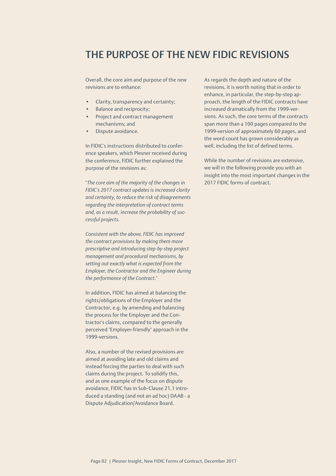## THE PURPOSE OF THE NEW FIDIC REVISIONS

Overall, the core aim and purpose of the new revisions are to enhance:

- Clarity, transparency and certainty;
- Balance and reciprocity;
- Project and contract management mechanisms; and
- Dispute avoidance.

In FIDIC's instructions distributed to conference speakers, which Plesner received during the conference, FIDIC further explained the purpose of the revisions as:

"*The core aim of the majority of the changes in FIDIC's 2017 contract updates is increased clarity and certainty, to reduce the risk of disagreements regarding the interpretation of contract terms and, as a result, increase the probability of successful projects.* 

*Consistent with the above, FIDIC has improved the contract provisions by making them more prescriptive and introducing step-by-step project management and procedural mechanisms, by setting out exactly what is expected from the Employer, the Contractor and the Engineer during the performance of the Contract.*"

In addition, FIDIC has aimed at balancing the rights/obligations of the Employer and the Contractor, e.g. by amending and balancing the process for the Employer and the Contractor's claims, compared to the generally perceived "Employer-friendly" approach in the 1999-versions.

Also, a number of the revised provisions are aimed at avoiding late and old claims and instead forcing the parties to deal with such claims during the project. To solidify this, and as one example of the focus on dispute avoidance, FIDIC has in Sub-Clause 21.1 introduced a standing (and not an ad hoc) DAAB - a Dispute Adjudication/Avoidance Board.

As regards the depth and nature of the revisions, it is worth noting that in order to enhance, in particular, the step-by-step approach, the length of the FIDIC contracts have increased dramatically from the 1999-versions. As such, the core terms of the contracts span more than a 100 pages compared to the 1999-version of approximately 60 pages, and the word count has grown considerably as well, including the list of defined terms.

While the number of revisions are extensive, we will in the following provide you with an insight into the most important changes in the 2017 FIDIC forms of contract.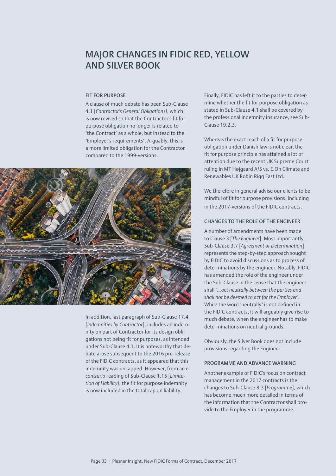## MAJOR CHANGES IN FIDIC RED, YELLOW AND SILVER BOOK

#### FIT FOR PURPOSE

A clause of much debate has been Sub-Clause 4.1 [*Contractor's General Obligations]*, which is now revised so that the Contractor's fit for purpose obligation no longer is related to "the Contract" as a whole, but instead to the "Employer's requirements". Arguably, this is a more limited obligation for the Contractor compared to the 1999-versions.



In addition, last paragraph of Sub-Clause 17.4 [*Indemnities by Contractor*], includes an indemnity on part of Contractor for its design obligations not being fit for purposes, as intended under Sub-Clause 4.1. It is noteworthy that debate arose subsequent to the 2016 pre-release of the FIDIC contracts, as it appeared that this indemnity was uncapped. However, from an *e contrario* reading of Sub-Clause 1.15 [*Limitation of Liability]*, the fit for purpose indemnity is now included in the total cap on liability.

Finally, FIDIC has left it to the parties to determine whether the fit for purpose obligation as stated in Sub-Clause 4.1 shall be covered by the professional indemnity insurance, see Sub-Clause 19.2.3.

Whereas the exact reach of a fit for purpose obligation under Danish law is not clear, the fit for purpose principle has attained a lot of attention due to the recent UK Supreme Court ruling in MT Højgaard A/S vs. E.On Climate and Renewables UK Robin Rigg East Ltd.

We therefore in general advise our clients to be mindful of fit for purpose provisions, including in the 2017-versions of the FIDIC contracts.

### CHANGES TO THE ROLE OF THE ENGINEER

A number of amendments have been made to Clause 3 [*The Engineer*]. Most importantly, Sub-Clause 3.7 [*Agreement or Determination*] represents the step-by-step approach sought by FIDIC to avoid discussions as to process of determinations by the engineer. Notably, FIDIC has amended the role of the engineer under the Sub-Clause in the sense that the engineer shall "*…act neutrally between the parties and shall not be deemed to act for the Employer*". While the word "neutrally" is not defined in the FIDIC contracts, it will arguably give rise to much debate, when the engineer has to make determinations on neutral grounds.

Obviously, the Silver Book does not include provisions regarding the Engineer.

#### PROGRAMME AND ADVANCE WARNING

Another example of FIDIC's focus on contract management in the 2017 contracts is the changes to Sub-Clause 8.3 [*Programme*], which has become much more detailed in terms of the information that the Contractor shall provide to the Employer in the programme.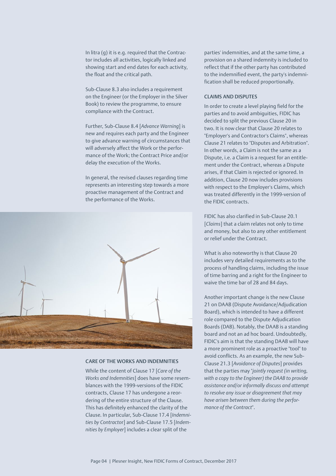In litra (g) it is e.g. required that the Contractor includes all activities, logically linked and showing start and end dates for each activity, the float and the critical path.

Sub-Clause 8.3 also includes a requirement on the Engineer (or the Employer in the Silver Book) to review the programme, to ensure compliance with the Contract.

Further, Sub-Clause 8.4 [*Advance Warning*] is new and requires each party and the Engineer to give advance warning of circumstances that will adversely affect the Work or the performance of the Work; the Contract Price and/or delay the execution of the Works.

In general, the revised clauses regarding time represents an interesting step towards a more proactive management of the Contract and the performance of the Works.



#### CARE OF THE WORKS AND INDEMNITIES

While the content of Clause 17 [*Care of the Works and Indemnities*] does have some resemblances with the 1999-versions of the FIDIC contracts, Clause 17 has undergone a reordering of the entire structure of the Clause. This has definitely enhanced the clarity of the Clause. In particular, Sub-Clause 17.4 [*Indemnities by Contracto*r] and Sub-Clause 17.5 [*Indemnities by Employer*] includes a clear split of the

parties' indemnities, and at the same time, a provision on a shared indemnity is included to reflect that if the other party has contributed to the indemnified event, the party's indemnification shall be reduced proportionally.

#### CLAIMS AND DISPUTES

In order to create a level playing field for the parties and to avoid ambiguities, FIDIC has decided to split the previous Clause 20 in two. It is now clear that Clause 20 relates to "Employer's and Contractor's Claims", whereas Clause 21 relates to "Disputes and Arbitration". In other words, a Claim is not the same as a Dispute, i.e. a Claim is a request for an entitlement under the Contract, whereas a Dispute arises, if that Claim is rejected or ignored. In addition, Clause 20 now includes provisions with respect to the Employer's Claims, which was treated differently in the 1999-version of the FIDIC contracts.

FIDIC has also clarified in Sub-Clause 20.1 [*Claims*] that a claim relates not only to time and money, but also to any other entitlement or relief under the Contract.

What is also noteworthy is that Clause 20 includes very detailed requirements as to the process of handling claims, including the issue of time barring and a right for the Engineer to waive the time bar of 28 and 84 days.

Another important change is the new Clause 21 on DAAB (Dispute Avoidance/Adjudication Board), which is intended to have a different role compared to the Dispute Adjudication Boards (DAB). Notably, the DAAB is a standing board and not an ad hoc board. Undoubtedly, FIDIC's aim is that the standing DAAB will have a more prominent role as a proactive "tool" to avoid conflicts. As an example, the new Sub-Clause 21.3 [*Avoidance of Disputes*] provides that the parties may "*jointly request (in writing, with a copy to the Engineer) the DAAB to provide assistance and/or informally discuss and attempt to resolve any issue or disagreement that may have arisen between them during the performance of the Contract*".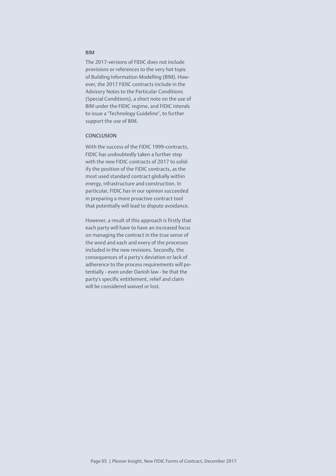#### BIM

The 2017-versions of FIDIC does not include provisions or references to the very hot topic of Building Information Modelling (BIM). However, the 2017 FIDIC contracts include in the Advisory Notes to the Particular Conditions (Special Conditions), a short note on the use of BIM under the FIDIC regime, and FIDIC intends to issue a "Technology Guideline", to further support the use of BIM.

#### **CONCLUSION**

With the success of the FIDIC 1999-contracts, FIDIC has undoubtedly taken a further step with the new FIDIC contracts of 2017 to solidify the position of the FIDIC contracts, as the most used standard contract globally within energy, infrastructure and construction. In particular, FIDIC has in our opinion succeeded in preparing a more proactive contract tool that potentially will lead to dispute avoidance.

However, a result of this approach is firstly that each party will have to have an increased focus on managing the contract in the true sense of the word and each and every of the processes included in the new revisions. Secondly, the consequences of a party's deviation or lack of adherence to the process requirements will potentially - even under Danish law - be that the party's specific entitlement, relief and claim will be considered waived or lost.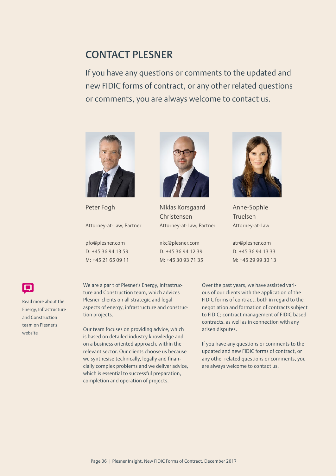## CONTACT PLESNER

If you have any questions or comments to the updated and new FIDIC forms of contract, or any other related questions or comments, you are always welcome to contact us.



Peter Fogh

Attorney-at-Law, Partner

pfo[@plesner.com](mailto:nkc%40plesner.com?subject=) D: +45 36 94 13 59 M: +45 21 65 09 11



Niklas Korsgaard Christensen Attorney-at-Law, Partner

[nkc@plesner.com](mailto:nkc%40plesner.com?subject=) D: +45 36 94 12 39 M: +45 30 93 71 35



Anne-Sophie Truelsen Attorney-at-Law

[atr@plesner.com](mailto:atr%40plesner.com%20?subject=) D: +45 36 94 13 33 M: +45 29 99 30 13

Read more about the [Energy, Infrastructure](https://www.plesner.com/speciale/energy%20law%20and%20infrastructure_practice%20area?sc_lang=en)  and Construction team on Plesner's website

We are a par t of Plesner's Energy, Infrastructure and Construction team, which advices Plesner' clients on all strategic and legal aspects of energy, infrastructure and construction projects.

Our team focuses on providing advice, which is based on detailed industry knowledge and on a business oriented approach, within the relevant sector. Our clients choose us because we synthesise technically, legally and financially complex problems and we deliver advice, which is essential to successful preparation, completion and operation of projects.

Over the past years, we have assisted various of our clients with the application of the FIDIC forms of contract, both in regard to the negotiation and formation of contracts subject to FIDIC; contract management of FIDIC based contracts, as well as in connection with any arisen disputes.

If you have any questions or comments to the updated and new FIDIC forms of contract, or any other related questions or comments, you are always welcome to contact us.